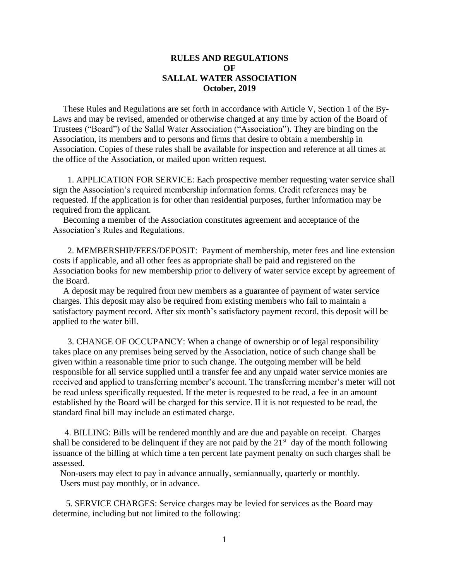## **RULES AND REGULATIONS OF SALLAL WATER ASSOCIATION October, 2019**

These Rules and Regulations are set forth in accordance with Article V, Section 1 of the By-Laws and may be revised, amended or otherwise changed at any time by action of the Board of Trustees ("Board") of the Sallal Water Association ("Association"). They are binding on the Association, its members and to persons and firms that desire to obtain a membership in Association. Copies of these rules shall be available for inspection and reference at all times at the office of the Association, or mailed upon written request.

 1. APPLICATION FOR SERVICE: Each prospective member requesting water service shall sign the Association's required membership information forms. Credit references may be requested. If the application is for other than residential purposes, further information may be required from the applicant.

Becoming a member of the Association constitutes agreement and acceptance of the Association's Rules and Regulations.

 2. MEMBERSHIP/FEES/DEPOSIT: Payment of membership, meter fees and line extension costs if applicable, and all other fees as appropriate shall be paid and registered on the Association books for new membership prior to delivery of water service except by agreement of the Board.

A deposit may be required from new members as a guarantee of payment of water service charges. This deposit may also be required from existing members who fail to maintain a satisfactory payment record. After six month's satisfactory payment record, this deposit will be applied to the water bill.

 3. CHANGE OF OCCUPANCY: When a change of ownership or of legal responsibility takes place on any premises being served by the Association, notice of such change shall be given within a reasonable time prior to such change. The outgoing member will be held responsible for all service supplied until a transfer fee and any unpaid water service monies are received and applied to transferring member's account. The transferring member's meter will not be read unless specifically requested. If the meter is requested to be read, a fee in an amount established by the Board will be charged for this service. II it is not requested to be read, the standard final bill may include an estimated charge.

 4. BILLING: Bills will be rendered monthly and are due and payable on receipt. Charges shall be considered to be delinquent if they are not paid by the  $21<sup>st</sup>$  day of the month following issuance of the billing at which time a ten percent late payment penalty on such charges shall be assessed.

Non-users may elect to pay in advance annually, semiannually, quarterly or monthly. Users must pay monthly, or in advance.

 5. SERVICE CHARGES: Service charges may be levied for services as the Board may determine, including but not limited to the following: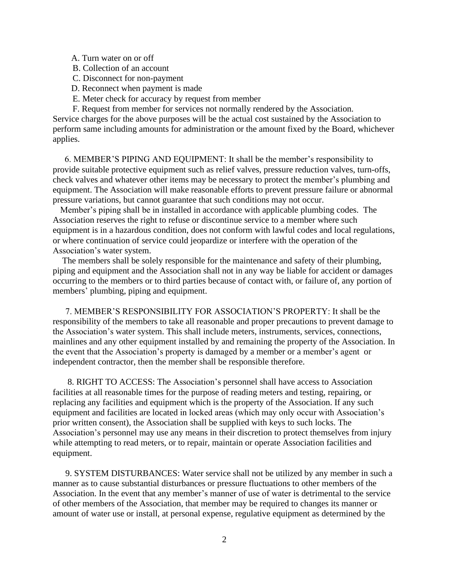- A. Turn water on or off
- B. Collection of an account
- C. Disconnect for non-payment
- D. Reconnect when payment is made
- E. Meter check for accuracy by request from member

 F. Request from member for services not normally rendered by the Association. Service charges for the above purposes will be the actual cost sustained by the Association to perform same including amounts for administration or the amount fixed by the Board, whichever applies.

 6. MEMBER'S PIPING AND EQUIPMENT: It shall be the member's responsibility to provide suitable protective equipment such as relief valves, pressure reduction valves, turn-offs, check valves and whatever other items may be necessary to protect the member's plumbing and equipment. The Association will make reasonable efforts to prevent pressure failure or abnormal pressure variations, but cannot guarantee that such conditions may not occur.

Member's piping shall be in installed in accordance with applicable plumbing codes. The Association reserves the right to refuse or discontinue service to a member where such equipment is in a hazardous condition, does not conform with lawful codes and local regulations, or where continuation of service could jeopardize or interfere with the operation of the Association's water system.

The members shall be solely responsible for the maintenance and safety of their plumbing, piping and equipment and the Association shall not in any way be liable for accident or damages occurring to the members or to third parties because of contact with, or failure of, any portion of members' plumbing, piping and equipment.

7. MEMBER'S RESPONSIBILITY FOR ASSOCIATION'S PROPERTY: It shall be the responsibility of the members to take all reasonable and proper precautions to prevent damage to the Association's water system. This shall include meters, instruments, services, connections, mainlines and any other equipment installed by and remaining the property of the Association. In the event that the Association's property is damaged by a member or a member's agent or independent contractor, then the member shall be responsible therefore.

 8. RIGHT TO ACCESS: The Association's personnel shall have access to Association facilities at all reasonable times for the purpose of reading meters and testing, repairing, or replacing any facilities and equipment which is the property of the Association. If any such equipment and facilities are located in locked areas (which may only occur with Association's prior written consent), the Association shall be supplied with keys to such locks. The Association's personnel may use any means in their discretion to protect themselves from injury while attempting to read meters, or to repair, maintain or operate Association facilities and equipment.

9. SYSTEM DISTURBANCES: Water service shall not be utilized by any member in such a manner as to cause substantial disturbances or pressure fluctuations to other members of the Association. In the event that any member's manner of use of water is detrimental to the service of other members of the Association, that member may be required to changes its manner or amount of water use or install, at personal expense, regulative equipment as determined by the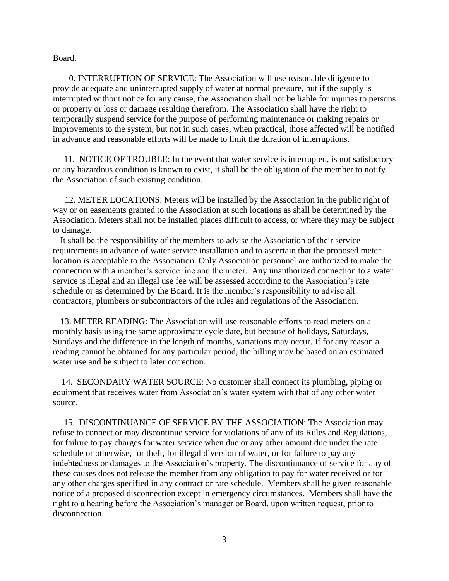Board.

 10. INTERRUPTION OF SERVICE: The Association will use reasonable diligence to provide adequate and uninterrupted supply of water at normal pressure, but if the supply is interrupted without notice for any cause, the Association shall not be liable for injuries to persons or property or loss or damage resulting therefrom. The Association shall have the right to temporarily suspend service for the purpose of performing maintenance or making repairs or improvements to the system, but not in such cases, when practical, those affected will be notified in advance and reasonable efforts will be made to limit the duration of interruptions.

 11. NOTICE OF TROUBLE: In the event that water service is interrupted, is not satisfactory or any hazardous condition is known to exist, it shall be the obligation of the member to notify the Association of such existing condition.

 12. METER LOCATIONS: Meters will be installed by the Association in the public right of way or on easements granted to the Association at such locations as shall be determined by the Association. Meters shall not be installed places difficult to access, or where they may be subject to damage.

It shall be the responsibility of the members to advise the Association of their service requirements in advance of water service installation and to ascertain that the proposed meter location is acceptable to the Association. Only Association personnel are authorized to make the connection with a member's service line and the meter. Any unauthorized connection to a water service is illegal and an illegal use fee will be assessed according to the Association's rate schedule or as determined by the Board. It is the member's responsibility to advise all contractors, plumbers or subcontractors of the rules and regulations of the Association.

13. METER READING: The Association will use reasonable efforts to read meters on a monthly basis using the same approximate cycle date, but because of holidays, Saturdays, Sundays and the difference in the length of months, variations may occur. If for any reason a reading cannot be obtained for any particular period, the billing may be based on an estimated water use and be subject to later correction.

 14. SECONDARY WATER SOURCE: No customer shall connect its plumbing, piping or equipment that receives water from Association's water system with that of any other water source.

 15. DISCONTINUANCE OF SERVICE BY THE ASSOCIATION: The Association may refuse to connect or may discontinue service for violations of any of its Rules and Regulations, for failure to pay charges for water service when due or any other amount due under the rate schedule or otherwise, for theft, for illegal diversion of water, or for failure to pay any indebtedness or damages to the Association's property. The discontinuance of service for any of these causes does not release the member from any obligation to pay for water received or for any other charges specified in any contract or rate schedule. Members shall be given reasonable notice of a proposed disconnection except in emergency circumstances. Members shall have the right to a hearing before the Association's manager or Board, upon written request, prior to disconnection.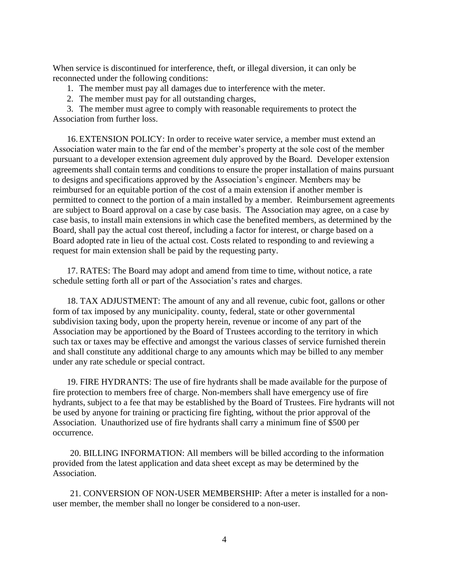When service is discontinued for interference, theft, or illegal diversion, it can only be reconnected under the following conditions:

1. The member must pay all damages due to interference with the meter.

2. The member must pay for all outstanding charges,

3. The member must agree to comply with reasonable requirements to protect the Association from further loss.

16.EXTENSION POLICY: In order to receive water service, a member must extend an Association water main to the far end of the member's property at the sole cost of the member pursuant to a developer extension agreement duly approved by the Board. Developer extension agreements shall contain terms and conditions to ensure the proper installation of mains pursuant to designs and specifications approved by the Association's engineer. Members may be reimbursed for an equitable portion of the cost of a main extension if another member is permitted to connect to the portion of a main installed by a member. Reimbursement agreements are subject to Board approval on a case by case basis. The Association may agree, on a case by case basis, to install main extensions in which case the benefited members, as determined by the Board, shall pay the actual cost thereof, including a factor for interest, or charge based on a Board adopted rate in lieu of the actual cost. Costs related to responding to and reviewing a request for main extension shall be paid by the requesting party.

17. RATES: The Board may adopt and amend from time to time, without notice, a rate schedule setting forth all or part of the Association's rates and charges.

18. TAX ADJUSTMENT: The amount of any and all revenue, cubic foot, gallons or other form of tax imposed by any municipality. county, federal, state or other governmental subdivision taxing body, upon the property herein, revenue or income of any part of the Association may be apportioned by the Board of Trustees according to the territory in which such tax or taxes may be effective and amongst the various classes of service furnished therein and shall constitute any additional charge to any amounts which may be billed to any member under any rate schedule or special contract.

19. FIRE HYDRANTS: The use of fire hydrants shall be made available for the purpose of fire protection to members free of charge. Non-members shall have emergency use of fire hydrants, subject to a fee that may be established by the Board of Trustees. Fire hydrants will not be used by anyone for training or practicing fire fighting, without the prior approval of the Association. Unauthorized use of fire hydrants shall carry a minimum fine of \$500 per occurrence.

 20. BILLING INFORMATION: All members will be billed according to the information provided from the latest application and data sheet except as may be determined by the Association.

 21. CONVERSION OF NON-USER MEMBERSHIP: After a meter is installed for a nonuser member, the member shall no longer be considered to a non-user.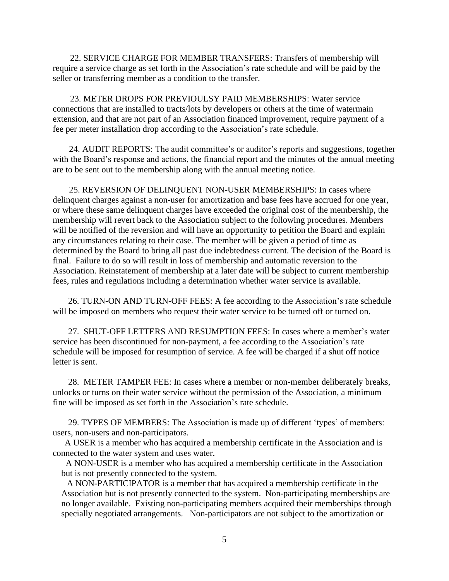22. SERVICE CHARGE FOR MEMBER TRANSFERS: Transfers of membership will require a service charge as set forth in the Association's rate schedule and will be paid by the seller or transferring member as a condition to the transfer.

 23. METER DROPS FOR PREVIOULSY PAID MEMBERSHIPS: Water service connections that are installed to tracts/lots by developers or others at the time of watermain extension, and that are not part of an Association financed improvement, require payment of a fee per meter installation drop according to the Association's rate schedule.

 24. AUDIT REPORTS: The audit committee's or auditor's reports and suggestions, together with the Board's response and actions, the financial report and the minutes of the annual meeting are to be sent out to the membership along with the annual meeting notice.

 25. REVERSION OF DELINQUENT NON-USER MEMBERSHIPS: In cases where delinquent charges against a non-user for amortization and base fees have accrued for one year, or where these same delinquent charges have exceeded the original cost of the membership, the membership will revert back to the Association subject to the following procedures. Members will be notified of the reversion and will have an opportunity to petition the Board and explain any circumstances relating to their case. The member will be given a period of time as determined by the Board to bring all past due indebtedness current. The decision of the Board is final. Failure to do so will result in loss of membership and automatic reversion to the Association. Reinstatement of membership at a later date will be subject to current membership fees, rules and regulations including a determination whether water service is available.

 26. TURN-ON AND TURN-OFF FEES: A fee according to the Association's rate schedule will be imposed on members who request their water service to be turned off or turned on.

 27. SHUT-OFF LETTERS AND RESUMPTION FEES: In cases where a member's water service has been discontinued for non-payment, a fee according to the Association's rate schedule will be imposed for resumption of service. A fee will be charged if a shut off notice letter is sent.

 28. METER TAMPER FEE: In cases where a member or non-member deliberately breaks, unlocks or turns on their water service without the permission of the Association, a minimum fine will be imposed as set forth in the Association's rate schedule.

 29. TYPES OF MEMBERS: The Association is made up of different 'types' of members: users, non-users and non-participators.

A USER is a member who has acquired a membership certificate in the Association and is connected to the water system and uses water.

 A NON-USER is a member who has acquired a membership certificate in the Association but is not presently connected to the system.

A NON-PARTICIPATOR is a member that has acquired a membership certificate in the Association but is not presently connected to the system. Non-participating memberships are no longer available. Existing non-participating members acquired their memberships through specially negotiated arrangements. Non-participators are not subject to the amortization or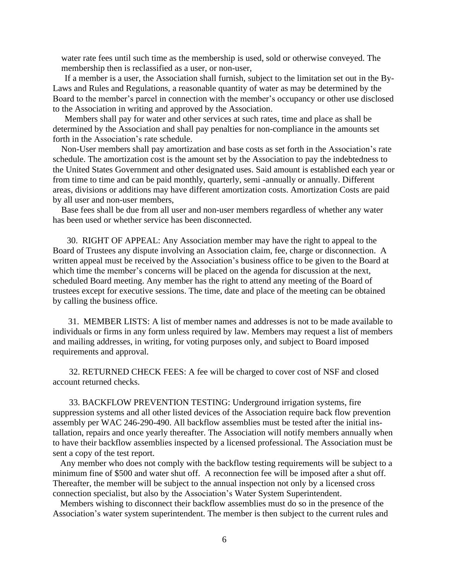water rate fees until such time as the membership is used, sold or otherwise conveyed. The membership then is reclassified as a user, or non-user,

If a member is a user, the Association shall furnish, subject to the limitation set out in the By-Laws and Rules and Regulations, a reasonable quantity of water as may be determined by the Board to the member's parcel in connection with the member's occupancy or other use disclosed to the Association in writing and approved by the Association.

Members shall pay for water and other services at such rates, time and place as shall be determined by the Association and shall pay penalties for non-compliance in the amounts set forth in the Association's rate schedule.

Non-User members shall pay amortization and base costs as set forth in the Association's rate schedule. The amortization cost is the amount set by the Association to pay the indebtedness to the United States Government and other designated uses. Said amount is established each year or from time to time and can be paid monthly, quarterly, semi -annually or annually. Different areas, divisions or additions may have different amortization costs. Amortization Costs are paid by all user and non-user members,

Base fees shall be due from all user and non-user members regardless of whether any water has been used or whether service has been disconnected.

 30. RIGHT OF APPEAL: Any Association member may have the right to appeal to the Board of Trustees any dispute involving an Association claim, fee, charge or disconnection. A written appeal must be received by the Association's business office to be given to the Board at which time the member's concerns will be placed on the agenda for discussion at the next, scheduled Board meeting. Any member has the right to attend any meeting of the Board of trustees except for executive sessions. The time, date and place of the meeting can be obtained by calling the business office.

 31. MEMBER LISTS: A list of member names and addresses is not to be made available to individuals or firms in any form unless required by law. Members may request a list of members and mailing addresses, in writing, for voting purposes only, and subject to Board imposed requirements and approval.

 32. RETURNED CHECK FEES: A fee will be charged to cover cost of NSF and closed account returned checks.

 33. BACKFLOW PREVENTION TESTING: Underground irrigation systems, fire suppression systems and all other listed devices of the Association require back flow prevention assembly per WAC 246-290-490. All backflow assemblies must be tested after the initial installation, repairs and once yearly thereafter. The Association will notify members annually when to have their backflow assemblies inspected by a licensed professional. The Association must be sent a copy of the test report.

Any member who does not comply with the backflow testing requirements will be subject to a minimum fine of \$500 and water shut off. A reconnection fee will be imposed after a shut off. Thereafter, the member will be subject to the annual inspection not only by a licensed cross connection specialist, but also by the Association's Water System Superintendent.

Members wishing to disconnect their backflow assemblies must do so in the presence of the Association's water system superintendent. The member is then subject to the current rules and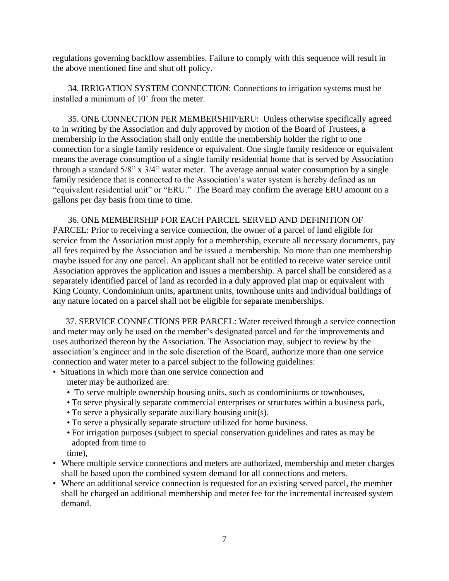regulations governing backflow assemblies. Failure to comply with this sequence will result in the above mentioned fine and shut off policy.

 34. IRRIGATION SYSTEM CONNECTION: Connections to irrigation systems must be installed a minimum of 10' from the meter.

 35. ONE CONNECTION PER MEMBERSHIP/ERU: Unless otherwise specifically agreed to in writing by the Association and duly approved by motion of the Board of Trustees, a membership in the Association shall only entitle the membership holder the right to one connection for a single family residence or equivalent. One single family residence or equivalent means the average consumption of a single family residential home that is served by Association through a standard 5/8" x 3/4" water meter. The average annual water consumption by a single family residence that is connected to the Association's water system is hereby defined as an "equivalent residential unit" or "ERU." The Board may confirm the average ERU amount on a gallons per day basis from time to time.

 36. ONE MEMBERSHIP FOR EACH PARCEL SERVED AND DEFINITION OF PARCEL: Prior to receiving a service connection, the owner of a parcel of land eligible for service from the Association must apply for a membership, execute all necessary documents, pay all fees required by the Association and be issued a membership. No more than one membership maybe issued for any one parcel. An applicant shall not be entitled to receive water service until Association approves the application and issues a membership. A parcel shall be considered as a separately identified parcel of land as recorded in a duly approved plat map or equivalent with King County. Condominium units, apartment units, townhouse units and individual buildings of any nature located on a parcel shall not be eligible for separate memberships.

 37. SERVICE CONNECTIONS PER PARCEL: Water received through a service connection and meter may only be used on the member's designated parcel and for the improvements and uses authorized thereon by the Association. The Association may, subject to review by the association's engineer and in the sole discretion of the Board, authorize more than one service connection and water meter to a parcel subject to the following guidelines:

• Situations in which more than one service connection and

meter may be authorized are:

- To serve multiple ownership housing units, such as condominiums or townhouses,
- To serve physically separate commercial enterprises or structures within a business park,
- To serve a physically separate auxiliary housing unit(s).
- To serve a physically separate structure utilized for home business.
- For irrigation purposes (subject to special conservation guidelines and rates as may be adopted from time to

time),

- Where multiple service connections and meters are authorized, membership and meter charges shall be based upon the combined system demand for all connections and meters.
- Where an additional service connection is requested for an existing served parcel, the member shall be charged an additional membership and meter fee for the incremental increased system demand.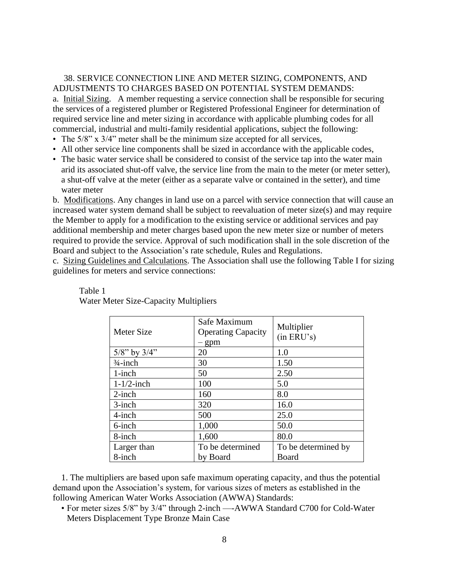## 38. SERVICE CONNECTION LINE AND METER SIZING, COMPONENTS, AND ADJUSTMENTS TO CHARGES BASED ON POTENTIAL SYSTEM DEMANDS:

a. Initial Sizing. A member requesting a service connection shall be responsible for securing the services of a registered plumber or Registered Professional Engineer for determination of required service line and meter sizing in accordance with applicable plumbing codes for all commercial, industrial and multi-family residential applications, subject the following:

- The 5/8" x 3/4" meter shall be the minimum size accepted for all services,
- All other service line components shall be sized in accordance with the applicable codes,
- The basic water service shall be considered to consist of the service tap into the water main arid its associated shut-off valve, the service line from the main to the meter (or meter setter), a shut-off valve at the meter (either as a separate valve or contained in the setter), and time water meter

b. Modifications. Any changes in land use on a parcel with service connection that will cause an increased water system demand shall be subject to reevaluation of meter size(s) and may require the Member to apply for a modification to the existing service or additional services and pay additional membership and meter charges based upon the new meter size or number of meters required to provide the service. Approval of such modification shall in the sole discretion of the Board and subject to the Association's rate schedule, Rules and Regulations.

c. Sizing Guidelines and Calculations. The Association shall use the following Table I for sizing guidelines for meters and service connections:

| Meter Size          | Safe Maximum<br><b>Operating Capacity</b><br>- gpm | Multiplier<br>(in ERU's) |
|---------------------|----------------------------------------------------|--------------------------|
| $5/8$ " by $3/4$ "  | 20                                                 | 1.0                      |
| $\frac{3}{4}$ -inch | 30                                                 | 1.50                     |
| $1$ -inch           | 50                                                 | 2.50                     |
| $1-1/2$ -inch       | 100                                                | 5.0                      |
| $2$ -inch           | 160                                                | 8.0                      |
| $3$ -inch           | 320                                                | 16.0                     |
| 4-inch              | 500                                                | 25.0                     |
| 6-inch              | 1,000                                              | 50.0                     |
| 8-inch              | 1,600                                              | 80.0                     |
| Larger than         | To be determined                                   | To be determined by      |
| 8-inch              | by Board                                           | Board                    |

## Table 1 Water Meter Size-Capacity Multipliers

1. The multipliers are based upon safe maximum operating capacity, and thus the potential demand upon the Association's system, for various sizes of meters as established in the following American Water Works Association (AWWA) Standards:

• For meter sizes 5/8" by 3/4" through 2-inch —-AWWA Standard C700 for Cold-Water Meters Displacement Type Bronze Main Case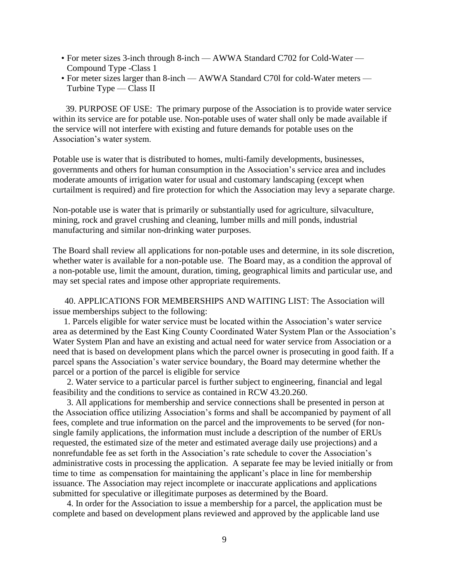- For meter sizes 3-inch through 8-inch AWWA Standard C702 for Cold-Water Compound Type -Class 1
- For meter sizes larger than 8-inch AWWA Standard C70l for cold-Water meters Turbine Type — Class II

 39. PURPOSE OF USE: The primary purpose of the Association is to provide water service within its service are for potable use. Non-potable uses of water shall only be made available if the service will not interfere with existing and future demands for potable uses on the Association's water system.

Potable use is water that is distributed to homes, multi-family developments, businesses, governments and others for human consumption in the Association's service area and includes moderate amounts of irrigation water for usual and customary landscaping (except when curtailment is required) and fire protection for which the Association may levy a separate charge.

Non-potable use is water that is primarily or substantially used for agriculture, silvaculture, mining, rock and gravel crushing and cleaning, lumber mills and mill ponds, industrial manufacturing and similar non-drinking water purposes.

The Board shall review all applications for non-potable uses and determine, in its sole discretion, whether water is available for a non-potable use. The Board may, as a condition the approval of a non-potable use, limit the amount, duration, timing, geographical limits and particular use, and may set special rates and impose other appropriate requirements.

 40. APPLICATIONS FOR MEMBERSHIPS AND WAITING LIST: The Association will issue memberships subject to the following:

 1. Parcels eligible for water service must be located within the Association's water service area as determined by the East King County Coordinated Water System Plan or the Association's Water System Plan and have an existing and actual need for water service from Association or a need that is based on development plans which the parcel owner is prosecuting in good faith. If a parcel spans the Association's water service boundary, the Board may determine whether the parcel or a portion of the parcel is eligible for service

2. Water service to a particular parcel is further subject to engineering, financial and legal feasibility and the conditions to service as contained in RCW 43.20.260.

3. All applications for membership and service connections shall be presented in person at the Association office utilizing Association's forms and shall be accompanied by payment of all fees, complete and true information on the parcel and the improvements to be served (for nonsingle family applications, the information must include a description of the number of ERUs requested, the estimated size of the meter and estimated average daily use projections) and a nonrefundable fee as set forth in the Association's rate schedule to cover the Association's administrative costs in processing the application. A separate fee may be levied initially or from time to time as compensation for maintaining the applicant's place in line for membership issuance. The Association may reject incomplete or inaccurate applications and applications submitted for speculative or illegitimate purposes as determined by the Board.

4. In order for the Association to issue a membership for a parcel, the application must be complete and based on development plans reviewed and approved by the applicable land use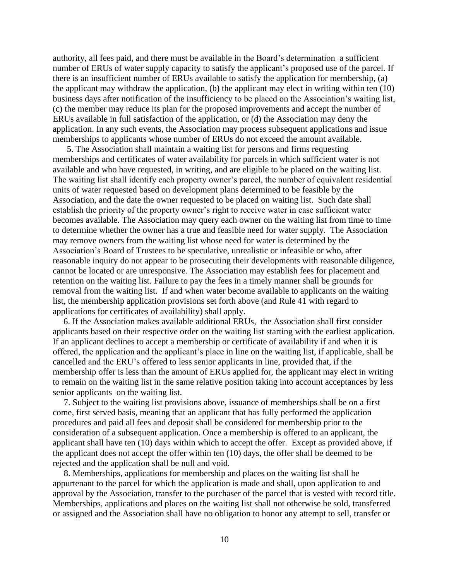authority, all fees paid, and there must be available in the Board's determination a sufficient number of ERUs of water supply capacity to satisfy the applicant's proposed use of the parcel. If there is an insufficient number of ERUs available to satisfy the application for membership, (a) the applicant may withdraw the application, (b) the applicant may elect in writing within ten (10) business days after notification of the insufficiency to be placed on the Association's waiting list, (c) the member may reduce its plan for the proposed improvements and accept the number of ERUs available in full satisfaction of the application, or (d) the Association may deny the application. In any such events, the Association may process subsequent applications and issue memberships to applicants whose number of ERUs do not exceed the amount available.

5. The Association shall maintain a waiting list for persons and firms requesting memberships and certificates of water availability for parcels in which sufficient water is not available and who have requested, in writing, and are eligible to be placed on the waiting list. The waiting list shall identify each property owner's parcel, the number of equivalent residential units of water requested based on development plans determined to be feasible by the Association, and the date the owner requested to be placed on waiting list. Such date shall establish the priority of the property owner's right to receive water in case sufficient water becomes available. The Association may query each owner on the waiting list from time to time to determine whether the owner has a true and feasible need for water supply. The Association may remove owners from the waiting list whose need for water is determined by the Association's Board of Trustees to be speculative, unrealistic or infeasible or who, after reasonable inquiry do not appear to be prosecuting their developments with reasonable diligence, cannot be located or are unresponsive. The Association may establish fees for placement and retention on the waiting list. Failure to pay the fees in a timely manner shall be grounds for removal from the waiting list. If and when water become available to applicants on the waiting list, the membership application provisions set forth above (and Rule 41 with regard to applications for certificates of availability) shall apply.

6. If the Association makes available additional ERUs, the Association shall first consider applicants based on their respective order on the waiting list starting with the earliest application. If an applicant declines to accept a membership or certificate of availability if and when it is offered, the application and the applicant's place in line on the waiting list, if applicable, shall be cancelled and the ERU's offered to less senior applicants in line, provided that, if the membership offer is less than the amount of ERUs applied for, the applicant may elect in writing to remain on the waiting list in the same relative position taking into account acceptances by less senior applicants on the waiting list.

 7. Subject to the waiting list provisions above, issuance of memberships shall be on a first come, first served basis, meaning that an applicant that has fully performed the application procedures and paid all fees and deposit shall be considered for membership prior to the consideration of a subsequent application. Once a membership is offered to an applicant, the applicant shall have ten (10) days within which to accept the offer. Except as provided above, if the applicant does not accept the offer within ten (10) days, the offer shall be deemed to be rejected and the application shall be null and void.

 8. Memberships, applications for membership and places on the waiting list shall be appurtenant to the parcel for which the application is made and shall, upon application to and approval by the Association, transfer to the purchaser of the parcel that is vested with record title. Memberships, applications and places on the waiting list shall not otherwise be sold, transferred or assigned and the Association shall have no obligation to honor any attempt to sell, transfer or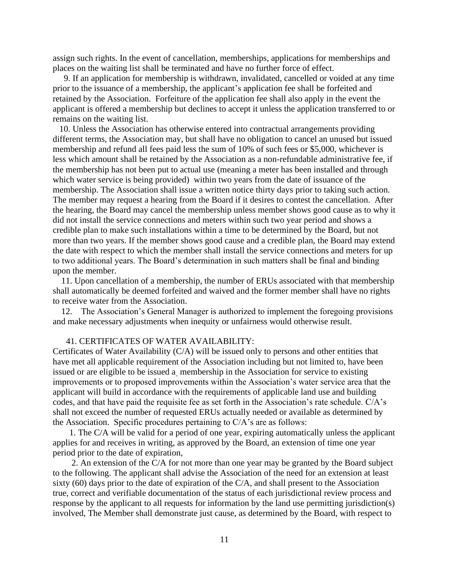assign such rights. In the event of cancellation, memberships, applications for memberships and places on the waiting list shall be terminated and have no further force of effect.

 9. If an application for membership is withdrawn, invalidated, cancelled or voided at any time prior to the issuance of a membership, the applicant's application fee shall be forfeited and retained by the Association. Forfeiture of the application fee shall also apply in the event the applicant is offered a membership but declines to accept it unless the application transferred to or remains on the waiting list.

 10. Unless the Association has otherwise entered into contractual arrangements providing different terms, the Association may, but shall have no obligation to cancel an unused but issued membership and refund all fees paid less the sum of 10% of such fees or \$5,000, whichever is less which amount shall be retained by the Association as a non-refundable administrative fee, if the membership has not been put to actual use (meaning a meter has been installed and through which water service is being provided) within two years from the date of issuance of the membership. The Association shall issue a written notice thirty days prior to taking such action. The member may request a hearing from the Board if it desires to contest the cancellation. After the hearing, the Board may cancel the membership unless member shows good cause as to why it did not install the service connections and meters within such two year period and shows a credible plan to make such installations within a time to be determined by the Board, but not more than two years. If the member shows good cause and a credible plan, the Board may extend the date with respect to which the member shall install the service connections and meters for up to two additional years. The Board's determination in such matters shall be final and binding upon the member.

11. Upon cancellation of a membership, the number of ERUs associated with that membership shall automatically be deemed forfeited and waived and the former member shall have no rights to receive water from the Association.

12. The Association's General Manager is authorized to implement the foregoing provisions and make necessary adjustments when inequity or unfairness would otherwise result.

## 41. CERTIFICATES OF WATER AVAILABILITY:

Certificates of Water Availability (C/A) will be issued only to persons and other entities that have met all applicable requirement of the Association including but not limited to, have been issued or are eligible to be issued a membership in the Association for service to existing improvements or to proposed improvements within the Association's water service area that the applicant will build in accordance with the requirements of applicable land use and building codes, and that have paid the requisite fee as set forth in the Association's rate schedule. C/A's shall not exceed the number of requested ERUs actually needed or available as determined by the Association. Specific procedures pertaining to C/A's are as follows:

 1. The C/A will be valid for a period of one year, expiring automatically unless the applicant applies for and receives in writing, as approved by the Board, an extension of time one year period prior to the date of expiration,

 2. An extension of the C/A for not more than one year may be granted by the Board subject to the following. The applicant shall advise the Association of the need for an extension at least sixty (60) days prior to the date of expiration of the C/A, and shall present to the Association true, correct and verifiable documentation of the status of each jurisdictional review process and response by the applicant to all requests for information by the land use permitting jurisdiction(s) involved, The Member shall demonstrate just cause, as determined by the Board, with respect to